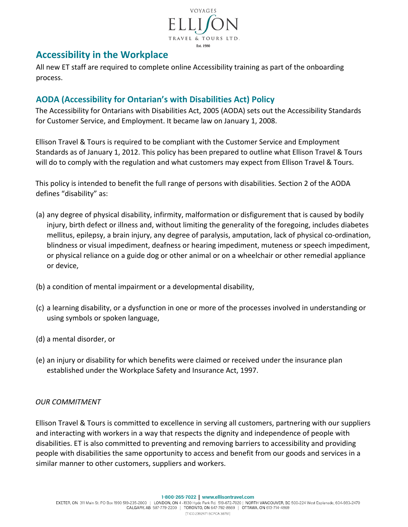

# **Accessibility in the Workplace**

All new ET staff are required to complete online Accessibility training as part of the onboarding process.

# **AODA (Accessibility for Ontarian's with Disabilities Act) Policy**

The Accessibility for Ontarians with Disabilities Act, 2005 (AODA) sets out the Accessibility Standards for Customer Service, and Employment. It became law on January 1, 2008.

Ellison Travel & Tours is required to be compliant with the Customer Service and Employment Standards as of January 1, 2012. This policy has been prepared to outline what Ellison Travel & Tours will do to comply with the regulation and what customers may expect from Ellison Travel & Tours.

This policy is intended to benefit the full range of persons with disabilities. Section 2 of the AODA defines "disability" as:

- (a) any degree of physical disability, infirmity, malformation or disfigurement that is caused by bodily injury, birth defect or illness and, without limiting the generality of the foregoing, includes diabetes mellitus, epilepsy, a brain injury, any degree of paralysis, amputation, lack of physical co-ordination, blindness or visual impediment, deafness or hearing impediment, muteness or speech impediment, or physical reliance on a guide dog or other animal or on a wheelchair or other remedial appliance or device,
- (b) a condition of mental impairment or a developmental disability,
- (c) a learning disability, or a dysfunction in one or more of the processes involved in understanding or using symbols or spoken language,
- (d) a mental disorder, or
- (e) an injury or disability for which benefits were claimed or received under the insurance plan established under the Workplace Safety and Insurance Act, 1997.

## *OUR COMMITMENT*

Ellison Travel & Tours is committed to excellence in serving all customers, partnering with our suppliers and interacting with workers in a way that respects the dignity and independence of people with disabilities. ET is also committed to preventing and removing barriers to accessibility and providing people with disabilities the same opportunity to access and benefit from our goods and services in a similar manner to other customers, suppliers and workers.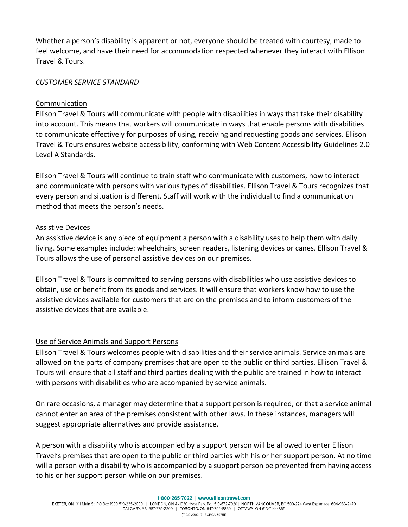Whether a person's disability is apparent or not, everyone should be treated with courtesy, made to feel welcome, and have their need for accommodation respected whenever they interact with Ellison Travel & Tours.

#### *CUSTOMER SERVICE STANDARD*

#### Communication

Ellison Travel & Tours will communicate with people with disabilities in ways that take their disability into account. This means that workers will communicate in ways that enable persons with disabilities to communicate effectively for purposes of using, receiving and requesting goods and services. Ellison Travel & Tours ensures website accessibility, conforming with Web Content Accessibility Guidelines 2.0 Level A Standards.

Ellison Travel & Tours will continue to train staff who communicate with customers, how to interact and communicate with persons with various types of disabilities. Ellison Travel & Tours recognizes that every person and situation is different. Staff will work with the individual to find a communication method that meets the person's needs.

#### Assistive Devices

An assistive device is any piece of equipment a person with a disability uses to help them with daily living. Some examples include: wheelchairs, screen readers, listening devices or canes. Ellison Travel & Tours allows the use of personal assistive devices on our premises.

Ellison Travel & Tours is committed to serving persons with disabilities who use assistive devices to obtain, use or benefit from its goods and services. It will ensure that workers know how to use the assistive devices available for customers that are on the premises and to inform customers of the assistive devices that are available.

## Use of Service Animals and Support Persons

Ellison Travel & Tours welcomes people with disabilities and their service animals. Service animals are allowed on the parts of company premises that are open to the public or third parties. Ellison Travel & Tours will ensure that all staff and third parties dealing with the public are trained in how to interact with persons with disabilities who are accompanied by service animals.

On rare occasions, a manager may determine that a support person is required, or that a service animal cannot enter an area of the premises consistent with other laws. In these instances, managers will suggest appropriate alternatives and provide assistance.

A person with a disability who is accompanied by a support person will be allowed to enter Ellison Travel's premises that are open to the public or third parties with his or her support person. At no time will a person with a disability who is accompanied by a support person be prevented from having access to his or her support person while on our premises.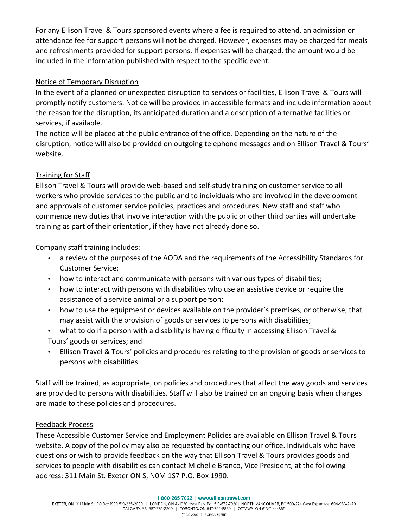For any Ellison Travel & Tours sponsored events where a fee is required to attend, an admission or attendance fee for support persons will not be charged. However, expenses may be charged for meals and refreshments provided for support persons. If expenses will be charged, the amount would be included in the information published with respect to the specific event.

## Notice of Temporary Disruption

In the event of a planned or unexpected disruption to services or facilities, Ellison Travel & Tours will promptly notify customers. Notice will be provided in accessible formats and include information about the reason for the disruption, its anticipated duration and a description of alternative facilities or services, if available.

The notice will be placed at the public entrance of the office. Depending on the nature of the disruption, notice will also be provided on outgoing telephone messages and on Ellison Travel & Tours' website.

# Training for Staff

Ellison Travel & Tours will provide web-based and self-study training on customer service to all workers who provide services to the public and to individuals who are involved in the development and approvals of customer service policies, practices and procedures. New staff and staff who commence new duties that involve interaction with the public or other third parties will undertake training as part of their orientation, if they have not already done so.

Company staff training includes:

- a review of the purposes of the AODA and the requirements of the Accessibility Standards for Customer Service;
- how to interact and communicate with persons with various types of disabilities;
- how to interact with persons with disabilities who use an assistive device or require the assistance of a service animal or a support person;
- how to use the equipment or devices available on the provider's premises, or otherwise, that may assist with the provision of goods or services to persons with disabilities;
- what to do if a person with a disability is having difficulty in accessing Ellison Travel & Tours' goods or services; and
- Ellison Travel & Tours' policies and procedures relating to the provision of goods or services to persons with disabilities.

Staff will be trained, as appropriate, on policies and procedures that affect the way goods and services are provided to persons with disabilities. Staff will also be trained on an ongoing basis when changes are made to these policies and procedures.

## Feedback Process

These Accessible Customer Service and Employment Policies are available on Ellison Travel & Tours website. A copy of the policy may also be requested by contacting our office. Individuals who have questions or wish to provide feedback on the way that Ellison Travel & Tours provides goods and services to people with disabilities can contact Michelle Branco, Vice President, at the following address: 311 Main St. Exeter ON S, N0M 1S7 P.O. Box 1990.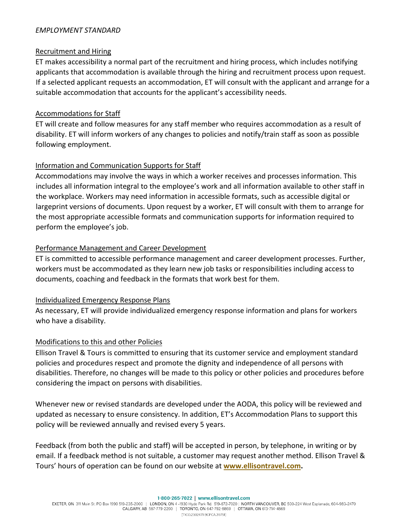#### *EMPLOYMENT STANDARD*

## Recruitment and Hiring

ET makes accessibility a normal part of the recruitment and hiring process, which includes notifying applicants that accommodation is available through the hiring and recruitment process upon request. If a selected applicant requests an accommodation, ET will consult with the applicant and arrange for a suitable accommodation that accounts for the applicant's accessibility needs.

## Accommodations for Staff

ET will create and follow measures for any staff member who requires accommodation as a result of disability. ET will inform workers of any changes to policies and notify/train staff as soon as possible following employment.

## Information and Communication Supports for Staff

Accommodations may involve the ways in which a worker receives and processes information. This includes all information integral to the employee's work and all information available to other staff in the workplace. Workers may need information in accessible formats, such as accessible digital or largeprint versions of documents. Upon request by a worker, ET will consult with them to arrange for the most appropriate accessible formats and communication supports for information required to perform the employee's job.

#### Performance Management and Career Development

ET is committed to accessible performance management and career development processes. Further, workers must be accommodated as they learn new job tasks or responsibilities including access to documents, coaching and feedback in the formats that work best for them.

#### Individualized Emergency Response Plans

As necessary, ET will provide individualized emergency response information and plans for workers who have a disability.

## Modifications to this and other Policies

Ellison Travel & Tours is committed to ensuring that its customer service and employment standard policies and procedures respect and promote the dignity and independence of all persons with disabilities. Therefore, no changes will be made to this policy or other policies and procedures before considering the impact on persons with disabilities.

Whenever new or revised standards are developed under the AODA, this policy will be reviewed and updated as necessary to ensure consistency. In addition, ET's Accommodation Plans to support this policy will be reviewed annually and revised every 5 years.

Feedback (from both the public and staff) will be accepted in person, by telephone, in writing or by email. If a feedback method is not suitable, a customer may request another method. Ellison Travel & Tours' hours of operation can be found on our website at **[www.ellisontravel.com.](http://www.ellisontravel.com/)**